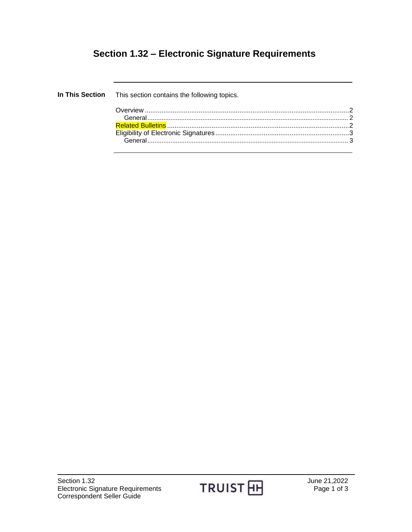## **Section 1.32 – Electronic Signature Requirements**

| In This Section This section contains the following topics. |  |
|-------------------------------------------------------------|--|
|                                                             |  |
|                                                             |  |
|                                                             |  |
|                                                             |  |
|                                                             |  |
|                                                             |  |

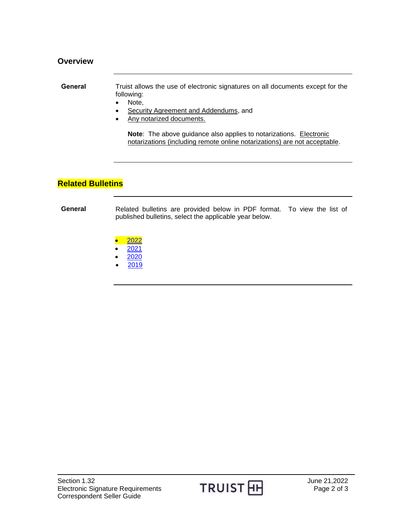## <span id="page-1-1"></span><span id="page-1-0"></span>**Overview General** Truist allows the use of electronic signatures on all documents except for the following: • Note, Security Agreement and Addendums, and Any notarized documents. **Note:** The above guidance also applies to notarizations. **Electronic** notarizations (including remote online notarizations) are not acceptable.

## <span id="page-1-2"></span>**Related Bulletins**

**General** Related bulletins are provided below in PDF format. To view the list of published bulletins, select the applicable year below.

- [2022](http://www.truistsellerguide.com/manual/cor/bulletins/Related%20Bulletins/2022/CESignature2022.pdf)
- [2021](http://www.truistsellerguide.com/manual/cor/bulletins/Related%20Bulletins/2021/CESignature2021.pdf)
- [2020](http://www.truistsellerguide.com/manual/cor/bulletins/Related%20Bulletins/2020/CESignature2020.pdf)
- [2019](http://www.truistsellerguide.com/manual/cor/bulletins/Related%20Bulletins/2019/CESignature2019.pdf)